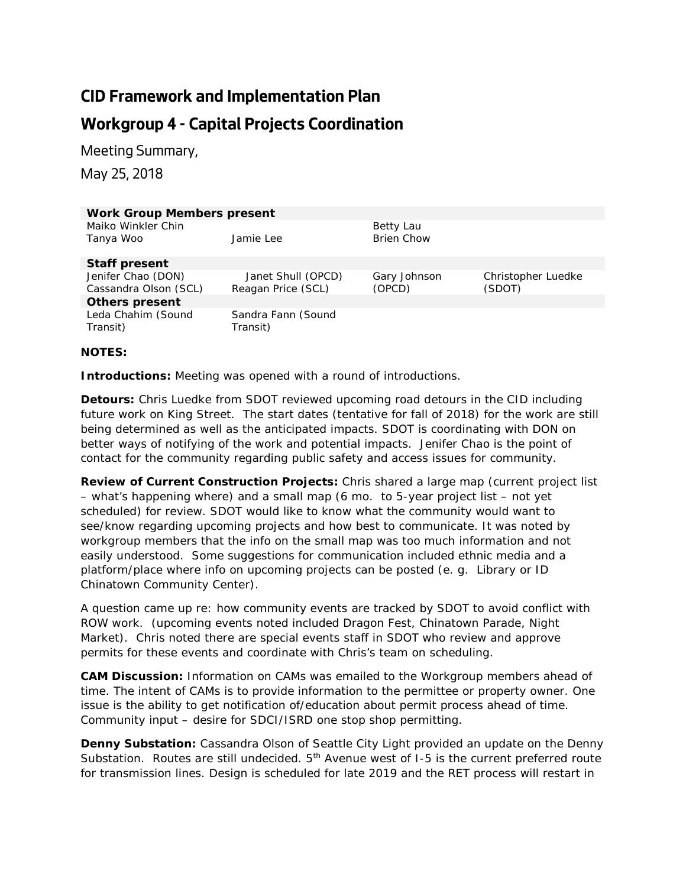## **CID Framework and Implementation Plan**

## **Workgroup 4 - Capital Projects Coordination**

Meeting Summary,

May 25, 2018

| <b>Work Group Members present</b> |                                |                   |                    |
|-----------------------------------|--------------------------------|-------------------|--------------------|
| Maiko Winkler Chin                |                                | Betty Lau         |                    |
| Tanya Woo                         | Jamie Lee                      | <b>Brien Chow</b> |                    |
| <b>Staff present</b>              |                                |                   |                    |
| Jenifer Chao (DON)                | Janet Shull (OPCD)             | Gary Johnson      | Christopher Luedke |
| Cassandra Olson (SCL)             | Reagan Price (SCL)             | (OPCD)            | (SDOT)             |
| <b>Others present</b>             |                                |                   |                    |
| Leda Chahim (Sound<br>Transit)    | Sandra Fann (Sound<br>Transit) |                   |                    |

## **NOTES:**

**Introductions:** Meeting was opened with a round of introductions.

**Detours:** Chris Luedke from SDOT reviewed upcoming road detours in the CID including future work on King Street. The start dates (tentative for fall of 2018) for the work are still being determined as well as the anticipated impacts. SDOT is coordinating with DON on better ways of notifying of the work and potential impacts. Jenifer Chao is the point of contact for the community regarding public safety and access issues for community.

**Review of Current Construction Projects:** Chris shared a large map (current project list – what's happening where) and a small map (6 mo. to 5-year project list – not yet scheduled) for review. SDOT would like to know what the community would want to see/know regarding upcoming projects and how best to communicate. It was noted by workgroup members that the info on the small map was too much information and not easily understood. Some suggestions for communication included ethnic media and a platform/place where info on upcoming projects can be posted (e. g. Library or ID Chinatown Community Center).

A question came up re: how community events are tracked by SDOT to avoid conflict with ROW work. (upcoming events noted included Dragon Fest, Chinatown Parade, Night Market). Chris noted there are special events staff in SDOT who review and approve permits for these events and coordinate with Chris's team on scheduling.

**CAM Discussion:** Information on CAMs was emailed to the Workgroup members ahead of time. The intent of CAMs is to provide information to the permittee or property owner. One issue is the ability to get notification of/education about permit process ahead of time. Community input – desire for SDCI/ISRD one stop shop permitting.

**Denny Substation:** Cassandra Olson of Seattle City Light provided an update on the Denny Substation. Routes are still undecided. 5<sup>th</sup> Avenue west of I-5 is the current preferred route for transmission lines. Design is scheduled for late 2019 and the RET process will restart in